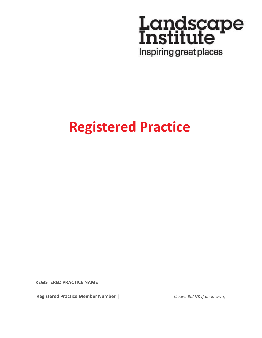

# **Registered Practice**

**REGISTERED PRACTICE NAME|**

**Registered Practice Member Number |** (*Leave BLANK if un-known)*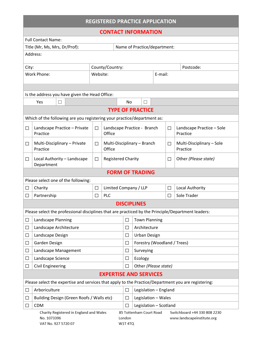| <b>REGISTERED PRACTICE APPLICATION</b>                                                                   |                                                                                                    |                 |                                       |                         |                              |  |                                                            |                                       |
|----------------------------------------------------------------------------------------------------------|----------------------------------------------------------------------------------------------------|-----------------|---------------------------------------|-------------------------|------------------------------|--|------------------------------------------------------------|---------------------------------------|
| <b>CONTACT INFORMATION</b>                                                                               |                                                                                                    |                 |                                       |                         |                              |  |                                                            |                                       |
|                                                                                                          | <b>Full Contact Name:</b>                                                                          |                 |                                       |                         |                              |  |                                                            |                                       |
| Title (Mr, Ms, Mrs, Dr/Prof):                                                                            |                                                                                                    |                 |                                       |                         | Name of Practice/department: |  |                                                            |                                       |
|                                                                                                          | Address:                                                                                           |                 |                                       |                         |                              |  |                                                            |                                       |
| County/Country:<br>City:                                                                                 |                                                                                                    |                 |                                       |                         |                              |  |                                                            | Postcode:                             |
| <b>Work Phone:</b><br>Website:                                                                           |                                                                                                    |                 |                                       |                         | E-mail:                      |  |                                                            |                                       |
|                                                                                                          |                                                                                                    |                 |                                       |                         |                              |  |                                                            |                                       |
| Is the address you have given the Head Office:                                                           |                                                                                                    |                 |                                       |                         |                              |  |                                                            |                                       |
|                                                                                                          | Yes<br>П                                                                                           |                 |                                       | No                      | $\Box$                       |  |                                                            |                                       |
|                                                                                                          |                                                                                                    |                 |                                       |                         | <b>TYPE OF PRACTICE</b>      |  |                                                            |                                       |
|                                                                                                          | Which of the following are you registering your practice/department as:                            |                 |                                       |                         |                              |  |                                                            |                                       |
| $\Box$                                                                                                   | Landscape Practice - Private<br>Practice                                                           | $\Box$          | Office                                |                         | Landscape Practice - Branch  |  | $\Box$                                                     | Landscape Practice - Sole<br>Practice |
| □                                                                                                        | Multi-Disciplinary - Private<br>Practice                                                           | □               | Multi-Disciplinary - Branch<br>Office |                         |                              |  | $\Box$                                                     | Multi-Disciplinary - Sole<br>Practice |
| $\Box$                                                                                                   | Local Authority - Landscape<br>Department                                                          | $\Box$          | <b>Registered Charity</b>             |                         |                              |  | $\Box$                                                     | Other (Please state)                  |
|                                                                                                          |                                                                                                    |                 |                                       |                         | <b>FORM OF TRADING</b>       |  |                                                            |                                       |
|                                                                                                          | Please select one of the following:                                                                |                 |                                       |                         |                              |  |                                                            |                                       |
| $\Box$                                                                                                   | Charity                                                                                            | $\Box$          |                                       | Limited Company / LLP   |                              |  | $\Box$                                                     | Local Authority                       |
| $\Box$                                                                                                   | Partnership                                                                                        | <b>PLC</b><br>□ |                                       |                         |                              |  | П                                                          | Sole Trader                           |
|                                                                                                          |                                                                                                    |                 |                                       |                         | <b>DISCIPLINES</b>           |  |                                                            |                                       |
|                                                                                                          | Please select the professional disciplines that are practiced by the Principle/Department leaders: |                 |                                       |                         |                              |  |                                                            |                                       |
| $\Box$                                                                                                   | Landscape Planning                                                                                 |                 |                                       | $\Box$                  | <b>Town Planning</b>         |  |                                                            |                                       |
| $\Box$                                                                                                   | Landscape Architecture                                                                             |                 |                                       | $\Box$                  | Architecture                 |  |                                                            |                                       |
| $\Box$                                                                                                   | Landscape Design                                                                                   |                 |                                       | $\Box$                  | <b>Urban Design</b>          |  |                                                            |                                       |
| $\Box$                                                                                                   | Garden Design                                                                                      |                 |                                       | $\Box$                  | Forestry (Woodland / Trees)  |  |                                                            |                                       |
| $\Box$                                                                                                   | Landscape Management                                                                               |                 |                                       | $\Box$                  | Surveying                    |  |                                                            |                                       |
| $\Box$                                                                                                   | Landscape Science                                                                                  |                 |                                       | $\Box$                  | Ecology                      |  |                                                            |                                       |
| $\Box$                                                                                                   | <b>Civil Engineering</b>                                                                           |                 |                                       | П                       | Other (Please state)         |  |                                                            |                                       |
| <b>EXPERTISE AND SERVICES</b>                                                                            |                                                                                                    |                 |                                       |                         |                              |  |                                                            |                                       |
| Please select the expertise and services that apply to the Practice/Department you are registering:      |                                                                                                    |                 |                                       |                         |                              |  |                                                            |                                       |
| □                                                                                                        | Arboriculture                                                                                      |                 |                                       | □                       | Legislation - England        |  |                                                            |                                       |
| □                                                                                                        | Building Design (Green Roofs / Walls etc)                                                          |                 |                                       | П                       | Legislation - Wales          |  |                                                            |                                       |
| □                                                                                                        | <b>CDM</b>                                                                                         |                 |                                       | П                       | Legislation - Scotland       |  |                                                            |                                       |
| Charity Registered in England and Wales<br>No. 1073396<br>London<br><b>W1T4TQ</b><br>VAT No. 927 5720 07 |                                                                                                    |                 |                                       | 85 Tottenham Court Road |                              |  | Switchboard +44 330 808 2230<br>www.landscapeinstitute.org |                                       |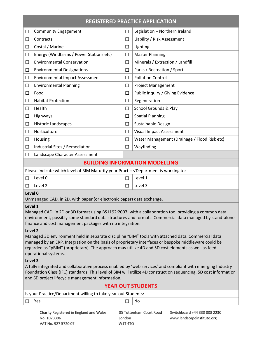| <b>REGISTERED PRACTICE APPLICATION</b>                                                                                                                                                                                                                                                                                                                         |                                                                                     |        |                                              |  |
|----------------------------------------------------------------------------------------------------------------------------------------------------------------------------------------------------------------------------------------------------------------------------------------------------------------------------------------------------------------|-------------------------------------------------------------------------------------|--------|----------------------------------------------|--|
| $\Box$                                                                                                                                                                                                                                                                                                                                                         | <b>Community Engagement</b>                                                         | $\Box$ | Legislation - Northern Ireland               |  |
| $\Box$                                                                                                                                                                                                                                                                                                                                                         | Contracts                                                                           | $\Box$ | Liability / Risk Assessment                  |  |
| $\Box$                                                                                                                                                                                                                                                                                                                                                         | Costal / Marine                                                                     | $\Box$ | Lighting                                     |  |
| $\Box$                                                                                                                                                                                                                                                                                                                                                         | Energy (Windfarms / Power Stations etc)                                             | $\Box$ | <b>Master Planning</b>                       |  |
| $\Box$                                                                                                                                                                                                                                                                                                                                                         | <b>Environmental Conservation</b>                                                   | $\Box$ | Minerals / Extraction / Landfill             |  |
| $\Box$                                                                                                                                                                                                                                                                                                                                                         | <b>Environmental Designations</b>                                                   | $\Box$ | Parks / Recreation / Sport                   |  |
| $\Box$                                                                                                                                                                                                                                                                                                                                                         | <b>Environmental Impact Assessment</b>                                              | $\Box$ | <b>Pollution Control</b>                     |  |
| $\Box$                                                                                                                                                                                                                                                                                                                                                         | <b>Environmental Planning</b>                                                       | $\Box$ | <b>Project Management</b>                    |  |
| $\Box$                                                                                                                                                                                                                                                                                                                                                         | Food                                                                                | $\Box$ | Public Inquiry / Giving Evidence             |  |
| $\Box$                                                                                                                                                                                                                                                                                                                                                         | <b>Habitat Protection</b>                                                           | $\Box$ | Regeneration                                 |  |
| $\Box$                                                                                                                                                                                                                                                                                                                                                         | Health                                                                              | $\Box$ | School Grounds & Play                        |  |
| $\Box$                                                                                                                                                                                                                                                                                                                                                         | Highways                                                                            | $\Box$ | <b>Spatial Planning</b>                      |  |
| $\Box$                                                                                                                                                                                                                                                                                                                                                         | <b>Historic Landscapes</b>                                                          | $\Box$ | Sustainable Design                           |  |
| $\Box$                                                                                                                                                                                                                                                                                                                                                         | Horticulture                                                                        | $\Box$ | <b>Visual Impact Assessment</b>              |  |
| $\Box$                                                                                                                                                                                                                                                                                                                                                         | Housing                                                                             | $\Box$ | Water Management (Drainage / Flood Risk etc) |  |
| $\Box$                                                                                                                                                                                                                                                                                                                                                         | Industrial Sites / Remediation                                                      | $\Box$ | Wayfinding                                   |  |
| $\Box$                                                                                                                                                                                                                                                                                                                                                         | Landscape Character Assessment                                                      |        |                                              |  |
|                                                                                                                                                                                                                                                                                                                                                                |                                                                                     |        | <b>BUILDING INFORMATION MODELLING</b>        |  |
|                                                                                                                                                                                                                                                                                                                                                                | Please indicate which level of BIM Maturity your Practice/Department is working to: |        |                                              |  |
| $\Box$                                                                                                                                                                                                                                                                                                                                                         | Level 0                                                                             | $\Box$ | Level 1                                      |  |
| $\Box$                                                                                                                                                                                                                                                                                                                                                         | Level 2                                                                             | П      | Level 3                                      |  |
| Level 0<br>Unmanaged CAD, in 2D, with paper (or electronic paper) data exchange.                                                                                                                                                                                                                                                                               |                                                                                     |        |                                              |  |
| Level 1<br>Managed CAD, in 2D or 3D format using BS1192:2007, with a collaboration tool providing a common data<br>environment, possibly some standard data structures and formats. Commercial data managed by stand-alone<br>finance and cost management packages with no integration.                                                                        |                                                                                     |        |                                              |  |
| Level <sub>2</sub><br>Managed 3D environment held in separate discipline "BIM" tools with attached data. Commercial data<br>managed by an ERP. Integration on the basis of proprietary interfaces or bespoke middleware could be<br>regarded as "pBIM" (proprietary). The approach may utilize 4D and 5D cost elements as well as feed<br>operational systems. |                                                                                     |        |                                              |  |
| Level 3<br>A fully integrated and collaborative process enabled by 'web services' and compliant with emerging Industry<br>Foundation Class (IFC) standards. This level of BIM will utilize 4D construction sequencing, 5D cost information<br>and 6D project lifecycle management information.                                                                 |                                                                                     |        |                                              |  |
| <b>YEAR OUT STUDENTS</b>                                                                                                                                                                                                                                                                                                                                       |                                                                                     |        |                                              |  |
| Is your Practice/Department willing to take year-out Students:                                                                                                                                                                                                                                                                                                 |                                                                                     |        |                                              |  |
|                                                                                                                                                                                                                                                                                                                                                                | Yes                                                                                 | $\Box$ | No                                           |  |
|                                                                                                                                                                                                                                                                                                                                                                |                                                                                     |        |                                              |  |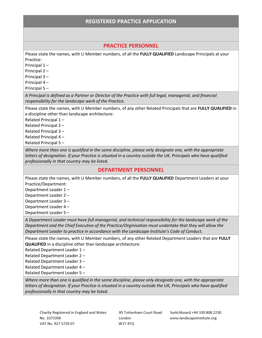#### **PRACTICE PERSONNEL**

Please state the names, with LI Member numbers, of all the **FULLY QUALIFIED** Landscape Principals at your Practice:

Principal 1 –

Principal 2 –

Principal 3 –

Principal 4 –

Principal 5 –

*A Principal is defined as a Partner or Director of the Practice with full legal, managerial, and financial responsibility for the landscape work of the Practice.* 

Please state the names, with LI Member numbers, of any other Related Principals that are **FULLY QUALIFIED** in a discipline other than landscape architecture:

Related Principal 1 –

Related Principal 2 –

Related Principal 3 –

Related Principal 4 –

Related Principal 5 –

*Where more than one is qualified in the same discipline, please only designate one, with the appropriate letters of designation. If your Practice is situated in a country outside the UK, Principals who have qualified professionally in that country may be listed.*

#### **DEPARTMENT PERSONNEL**

Please state the names, with LI Member numbers, of all the **FULLY QUALIFIED** Department Leaders at your Practice/Department:

Department Leader 1 –

Department Leader 2 –

Department Leader 3 –

Department Leader 4 –

Department Leader 5 –

*A Department Leader must have full managerial, and technical responsibility for the landscape work of the Department and the Chief Executive of the Practice/Orginisation must undertake that they will allow the Department Leader to practice in accordance with the Landscape Institute's Code of Conduct.* 

Please state the names, with LI Member numbers, of any other Related Department Leaders that are **FULLY QUALIFIED** in a discipline other than landscape architecture:

Related Department Leader 1 –

Related Department Leader 2 –

Related Department Leader 3 –

Related Department Leader 4 –

Related Department Leader 5 –

*Where more than one is qualified in the same discipline, please only designate one, with the appropriate letters of designation. If your Practice is situated in a country outside the UK, Principals who have qualified professionally in that country may be listed.*

85 Tottenham Court Road London W1T<sub>4TQ</sub>

Switchboard +44 330 808 2230 www.landscapeinstitute.org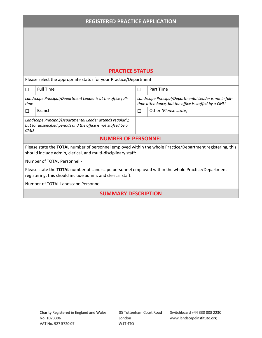## **PRACTICE STATUS**

Please select the appropriate status for your Practice/Department:

| П                                                                                                                                                                           | <b>Full Time</b> | П | Part Time                                               |  |  |
|-----------------------------------------------------------------------------------------------------------------------------------------------------------------------------|------------------|---|---------------------------------------------------------|--|--|
| Landscape Principal/Department Leader is at the office full-                                                                                                                |                  |   | Landscape Principal/Departmental Leader is not in full- |  |  |
| time                                                                                                                                                                        |                  |   | time attendance, but the office is staffed by a CMLI    |  |  |
| П                                                                                                                                                                           | <b>Branch</b>    | П | Other (Please state)                                    |  |  |
| Landscape Principal/Departmental Leader attends regularly,                                                                                                                  |                  |   |                                                         |  |  |
| but for unspecified periods and the office is not staffed by a                                                                                                              |                  |   |                                                         |  |  |
| <b>CMLI</b>                                                                                                                                                                 |                  |   |                                                         |  |  |
| <b>NUMBER OF PERSONNEL</b>                                                                                                                                                  |                  |   |                                                         |  |  |
| Please state the TOTAL number of personnel employed within the whole Practice/Department registering, this<br>should include admin, clerical, and multi-disciplinary staff: |                  |   |                                                         |  |  |
| Number of TOTAL Personnel -                                                                                                                                                 |                  |   |                                                         |  |  |
| Please state the TOTAL number of Landscape personnel employed within the whole Practice/Department                                                                          |                  |   |                                                         |  |  |
| registering, this should include admin, and clerical staff:                                                                                                                 |                  |   |                                                         |  |  |
| Number of TOTAL Landscape Personnel -                                                                                                                                       |                  |   |                                                         |  |  |
|                                                                                                                                                                             |                  |   |                                                         |  |  |

**SUMMARY DESCRIPTION**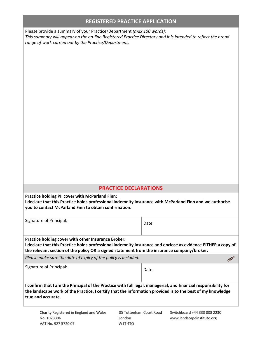Please provide a summary of your Practice/Department *(max 100 words): This summary will appear on the on-line Registered Practice Directory and it is intended to reflect the broad range of work carried out by the Practice/Department.*

### **PRACTICE DECLARATIONS**

**Practice holding PII cover with McParland Finn:** 

**I declare that this Practice holds professional indemnity insurance with McParland Finn and we authorise you to contact McParland Finn to obtain confirmation.** 

| Signature of Principal:                                                                                                                                                                                                                                            | Date: |  |  |  |
|--------------------------------------------------------------------------------------------------------------------------------------------------------------------------------------------------------------------------------------------------------------------|-------|--|--|--|
| Practice holding cover with other Insurance Broker:<br>I declare that this Practice holds professional indemnity insurance and enclose as evidence EITHER a copy of<br>the relevant section of the policy OR a signed statement from the insurance company/broker. |       |  |  |  |
| Please make sure the date of expiry of the policy is included.                                                                                                                                                                                                     |       |  |  |  |
| Signature of Principal:                                                                                                                                                                                                                                            | Date: |  |  |  |
| I confirm that I am the Principal of the Practice with full legal, managerial, and financial responsibility for<br>the landscape work of the Practice. I certify that the information provided is to the best of my knowledge<br>true and accurate.                |       |  |  |  |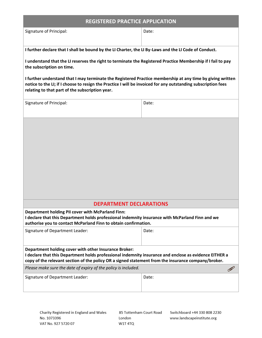| <b>REGISTERED PRACTICE APPLICATION</b>                                                                                                                                                                                                                                         |       |  |  |
|--------------------------------------------------------------------------------------------------------------------------------------------------------------------------------------------------------------------------------------------------------------------------------|-------|--|--|
| Signature of Principal:                                                                                                                                                                                                                                                        | Date: |  |  |
|                                                                                                                                                                                                                                                                                |       |  |  |
| I further declare that I shall be bound by the LI Charter, the LI By-Laws and the LI Code of Conduct.                                                                                                                                                                          |       |  |  |
| I understand that the LI reserves the right to terminate the Registered Practice Membership if I fail to pay<br>the subscription on time.                                                                                                                                      |       |  |  |
| I further understand that I may terminate the Registered Practice membership at any time by giving written<br>notice to the LI; if I choose to resign the Practice I will be invoiced for any outstanding subscription fees<br>relating to that part of the subscription year. |       |  |  |
| Signature of Principal:                                                                                                                                                                                                                                                        | Date: |  |  |
|                                                                                                                                                                                                                                                                                |       |  |  |
| <b>DEPARTMENT DECLARATIONS</b><br>Department holding PII cover with McParland Finn:                                                                                                                                                                                            |       |  |  |
| I declare that this Department holds professional indemnity insurance with McParland Finn and we<br>authorise you to contact McParland Finn to obtain confirmation.                                                                                                            |       |  |  |
| Signature of Department Leader:                                                                                                                                                                                                                                                | Date: |  |  |
| Department holding cover with other Insurance Broker:<br>I declare that this Department holds professional indemnity insurance and enclose as evidence EITHER a<br>copy of the relevant section of the policy OR a signed statement from the insurance company/broker.         |       |  |  |
| Please make sure the date of expiry of the policy is included.                                                                                                                                                                                                                 |       |  |  |
| Signature of Department Leader:                                                                                                                                                                                                                                                | Date: |  |  |
|                                                                                                                                                                                                                                                                                |       |  |  |

85 Tottenham Court Road London W1T 4TQ